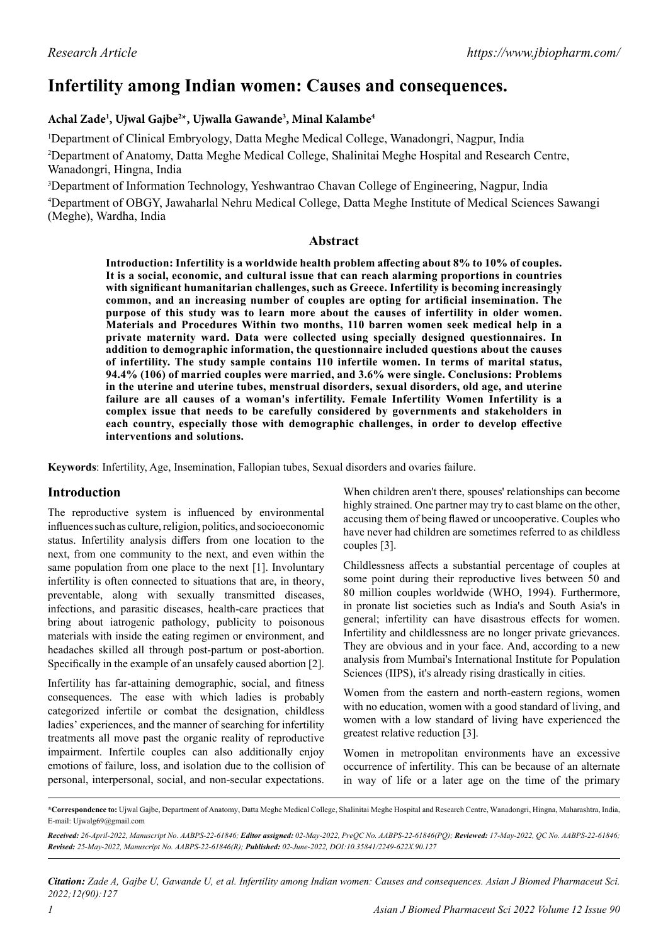# **Infertility among Indian women: Causes and consequences.**

# **Achal Zade1 , Ujwal Gajbe2 \*, Ujwalla Gawande3 , Minal Kalambe4**

1 Department of Clinical Embryology, Datta Meghe Medical College, Wanadongri, Nagpur, India

<sup>2</sup>Department of Anatomy, Datta Meghe Medical College, Shalinitai Meghe Hospital and Research Centre, Wanadongri, Hingna, India

3 Department of Information Technology, Yeshwantrao Chavan College of Engineering, Nagpur, India 4 Department of OBGY, Jawaharlal Nehru Medical College, Datta Meghe Institute of Medical Sciences Sawangi (Meghe), Wardha, India

## **Abstract**

**Introduction: Infertility is a worldwide health problem affecting about 8% to 10% of couples. It is a social, economic, and cultural issue that can reach alarming proportions in countries with significant humanitarian challenges, such as Greece. Infertility is becoming increasingly common, and an increasing number of couples are opting for artificial insemination. The purpose of this study was to learn more about the causes of infertility in older women. Materials and Procedures Within two months, 110 barren women seek medical help in a private maternity ward. Data were collected using specially designed questionnaires. In addition to demographic information, the questionnaire included questions about the causes of infertility. The study sample contains 110 infertile women. In terms of marital status, 94.4% (106) of married couples were married, and 3.6% were single. Conclusions: Problems in the uterine and uterine tubes, menstrual disorders, sexual disorders, old age, and uterine failure are all causes of a woman's infertility. Female Infertility Women Infertility is a complex issue that needs to be carefully considered by governments and stakeholders in each country, especially those with demographic challenges, in order to develop effective interventions and solutions.**

**Keywords**: Infertility, Age, Insemination, Fallopian tubes, Sexual disorders and ovaries failure.

# **Introduction**

The reproductive system is influenced by environmental influences such as culture, religion, politics, and socioeconomic status. Infertility analysis differs from one location to the next, from one community to the next, and even within the same population from one place to the next [1]. Involuntary infertility is often connected to situations that are, in theory, preventable, along with sexually transmitted diseases, infections, and parasitic diseases, health-care practices that bring about iatrogenic pathology, publicity to poisonous materials with inside the eating regimen or environment, and headaches skilled all through post-partum or post-abortion. Specifically in the example of an unsafely caused abortion [2].

Infertility has far-attaining demographic, social, and fitness consequences. The ease with which ladies is probably categorized infertile or combat the designation, childless ladies' experiences, and the manner of searching for infertility treatments all move past the organic reality of reproductive impairment. Infertile couples can also additionally enjoy emotions of failure, loss, and isolation due to the collision of personal, interpersonal, social, and non-secular expectations.

When children aren't there, spouses' relationships can become highly strained. One partner may try to cast blame on the other, accusing them of being flawed or uncooperative. Couples who have never had children are sometimes referred to as childless couples [3].

Childlessness affects a substantial percentage of couples at some point during their reproductive lives between 50 and 80 million couples worldwide (WHO, 1994). Furthermore, in pronate list societies such as India's and South Asia's in general; infertility can have disastrous effects for women. Infertility and childlessness are no longer private grievances. They are obvious and in your face. And, according to a new analysis from Mumbai's International Institute for Population Sciences (IIPS), it's already rising drastically in cities.

Women from the eastern and north-eastern regions, women with no education, women with a good standard of living, and women with a low standard of living have experienced the greatest relative reduction [3].

Women in metropolitan environments have an excessive occurrence of infertility. This can be because of an alternate in way of life or a later age on the time of the primary

**<sup>\*</sup>Correspondence to:** Ujwal Gajbe, Department of Anatomy, Datta Meghe Medical College, Shalinitai Meghe Hospital and Research Centre, Wanadongri, Hingna, Maharashtra, India, E-mail: Ujwalg69@gmail.com

*Received: 26-April-2022, Manuscript No. AABPS-22-61846; Editor assigned: 02-May-2022, PreQC No. AABPS-22-61846(PQ); Reviewed: 17-May-2022, QC No. AABPS-22-61846; Revised: 25-May-2022, Manuscript No. AABPS-22-61846(R); Published: 02-June-2022, DOI:10.35841/2249-622X.90.127*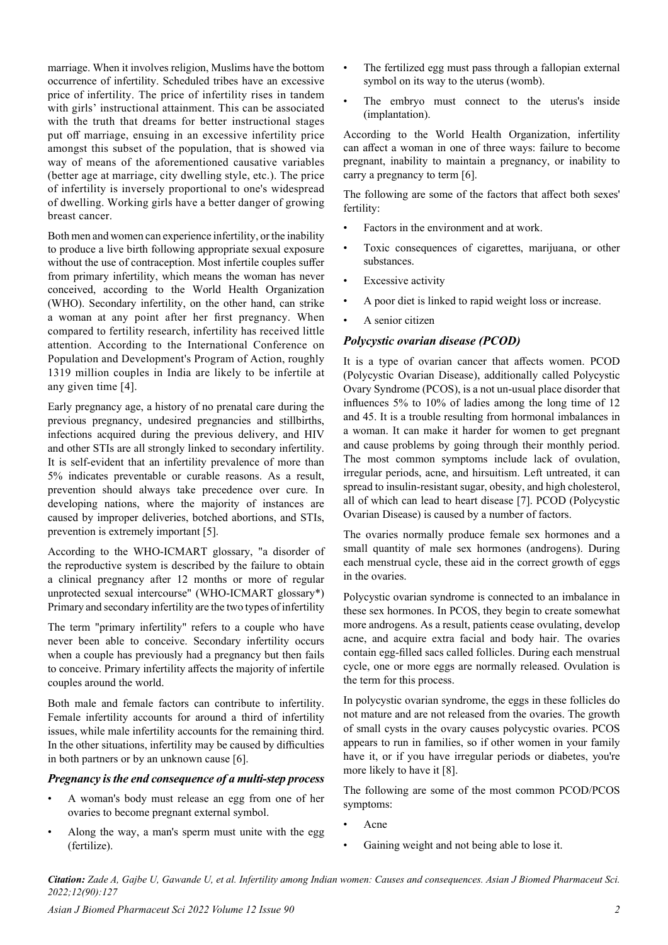marriage. When it involves religion, Muslims have the bottom occurrence of infertility. Scheduled tribes have an excessive price of infertility. The price of infertility rises in tandem with girls' instructional attainment. This can be associated with the truth that dreams for better instructional stages put off marriage, ensuing in an excessive infertility price amongst this subset of the population, that is showed via way of means of the aforementioned causative variables (better age at marriage, city dwelling style, etc.). The price of infertility is inversely proportional to one's widespread of dwelling. Working girls have a better danger of growing breast cancer.

Both men and women can experience infertility, or the inability to produce a live birth following appropriate sexual exposure without the use of contraception. Most infertile couples suffer from primary infertility, which means the woman has never conceived, according to the World Health Organization (WHO). Secondary infertility, on the other hand, can strike a woman at any point after her first pregnancy. When compared to fertility research, infertility has received little attention. According to the International Conference on Population and Development's Program of Action, roughly 1319 million couples in India are likely to be infertile at any given time [4].

Early pregnancy age, a history of no prenatal care during the previous pregnancy, undesired pregnancies and stillbirths, infections acquired during the previous delivery, and HIV and other STIs are all strongly linked to secondary infertility. It is self-evident that an infertility prevalence of more than 5% indicates preventable or curable reasons. As a result, prevention should always take precedence over cure. In developing nations, where the majority of instances are caused by improper deliveries, botched abortions, and STIs, prevention is extremely important [5].

According to the WHO-ICMART glossary, "a disorder of the reproductive system is described by the failure to obtain a clinical pregnancy after 12 months or more of regular unprotected sexual intercourse" (WHO-ICMART glossary\*) Primary and secondary infertility are the two types of infertility

The term "primary infertility" refers to a couple who have never been able to conceive. Secondary infertility occurs when a couple has previously had a pregnancy but then fails to conceive. Primary infertility affects the majority of infertile couples around the world.

Both male and female factors can contribute to infertility. Female infertility accounts for around a third of infertility issues, while male infertility accounts for the remaining third. In the other situations, infertility may be caused by difficulties in both partners or by an unknown cause [6].

#### *Pregnancy is the end consequence of a multi-step process*

- A woman's body must release an egg from one of her ovaries to become pregnant external symbol.
- Along the way, a man's sperm must unite with the egg (fertilize).
- The fertilized egg must pass through a fallopian external symbol on its way to the uterus (womb).
- The embryo must connect to the uterus's inside (implantation).

According to the World Health Organization, infertility can affect a woman in one of three ways: failure to become pregnant, inability to maintain a pregnancy, or inability to carry a pregnancy to term [6].

The following are some of the factors that affect both sexes' fertility:

- Factors in the environment and at work.
- Toxic consequences of cigarettes, marijuana, or other substances.
- **Excessive activity**
- A poor diet is linked to rapid weight loss or increase.
- A senior citizen

# *Polycystic ovarian disease (PCOD)*

It is a type of ovarian cancer that affects women. PCOD (Polycystic Ovarian Disease), additionally called Polycystic Ovary Syndrome (PCOS), is a not un-usual place disorder that influences 5% to 10% of ladies among the long time of 12 and 45. It is a trouble resulting from hormonal imbalances in a woman. It can make it harder for women to get pregnant and cause problems by going through their monthly period. The most common symptoms include lack of ovulation, irregular periods, acne, and hirsuitism. Left untreated, it can spread to insulin-resistant sugar, obesity, and high cholesterol, all of which can lead to heart disease [7]. PCOD (Polycystic Ovarian Disease) is caused by a number of factors.

The ovaries normally produce female sex hormones and a small quantity of male sex hormones (androgens). During each menstrual cycle, these aid in the correct growth of eggs in the ovaries.

Polycystic ovarian syndrome is connected to an imbalance in these sex hormones. In PCOS, they begin to create somewhat more androgens. As a result, patients cease ovulating, develop acne, and acquire extra facial and body hair. The ovaries contain egg-filled sacs called follicles. During each menstrual cycle, one or more eggs are normally released. Ovulation is the term for this process.

In polycystic ovarian syndrome, the eggs in these follicles do not mature and are not released from the ovaries. The growth of small cysts in the ovary causes polycystic ovaries. PCOS appears to run in families, so if other women in your family have it, or if you have irregular periods or diabetes, you're more likely to have it [8].

The following are some of the most common PCOD/PCOS symptoms:

- Acne
- Gaining weight and not being able to lose it.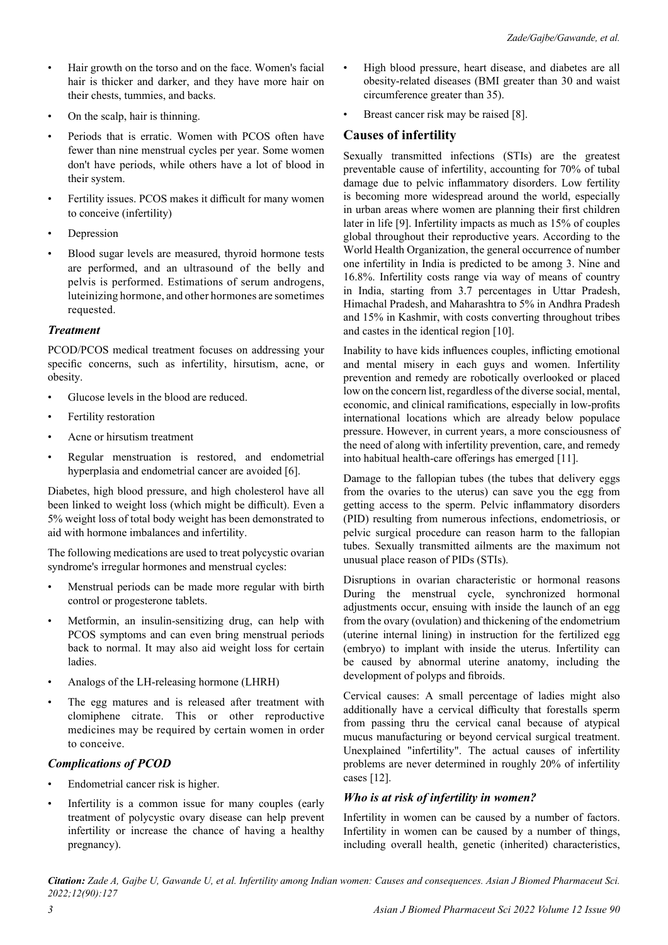- Hair growth on the torso and on the face. Women's facial hair is thicker and darker, and they have more hair on their chests, tummies, and backs.
- On the scalp, hair is thinning.
- Periods that is erratic. Women with PCOS often have fewer than nine menstrual cycles per year. Some women don't have periods, while others have a lot of blood in their system.
- Fertility issues. PCOS makes it difficult for many women to conceive (infertility)
- **Depression**
- Blood sugar levels are measured, thyroid hormone tests are performed, and an ultrasound of the belly and pelvis is performed. Estimations of serum androgens, luteinizing hormone, and other hormones are sometimes requested.

## *Treatment*

PCOD/PCOS medical treatment focuses on addressing your specific concerns, such as infertility, hirsutism, acne, or obesity.

- Glucose levels in the blood are reduced.
- Fertility restoration
- Acne or hirsutism treatment
- Regular menstruation is restored, and endometrial hyperplasia and endometrial cancer are avoided [6].

Diabetes, high blood pressure, and high cholesterol have all been linked to weight loss (which might be difficult). Even a 5% weight loss of total body weight has been demonstrated to aid with hormone imbalances and infertility.

The following medications are used to treat polycystic ovarian syndrome's irregular hormones and menstrual cycles:

- Menstrual periods can be made more regular with birth control or progesterone tablets.
- Metformin, an insulin-sensitizing drug, can help with PCOS symptoms and can even bring menstrual periods back to normal. It may also aid weight loss for certain ladies.
- Analogs of the LH-releasing hormone (LHRH)
- The egg matures and is released after treatment with clomiphene citrate. This or other reproductive medicines may be required by certain women in order to conceive.

# *Complications of PCOD*

- Endometrial cancer risk is higher.
- Infertility is a common issue for many couples (early treatment of polycystic ovary disease can help prevent infertility or increase the chance of having a healthy pregnancy).
- High blood pressure, heart disease, and diabetes are all obesity-related diseases (BMI greater than 30 and waist circumference greater than 35).
- Breast cancer risk may be raised [8].

# **Causes of infertility**

Sexually transmitted infections (STIs) are the greatest preventable cause of infertility, accounting for 70% of tubal damage due to pelvic inflammatory disorders. Low fertility is becoming more widespread around the world, especially in urban areas where women are planning their first children later in life [9]. Infertility impacts as much as 15% of couples global throughout their reproductive years. According to the World Health Organization, the general occurrence of number one infertility in India is predicted to be among 3. Nine and 16.8%. Infertility costs range via way of means of country in India, starting from 3.7 percentages in Uttar Pradesh, Himachal Pradesh, and Maharashtra to 5% in Andhra Pradesh and 15% in Kashmir, with costs converting throughout tribes and castes in the identical region [10].

Inability to have kids influences couples, inflicting emotional and mental misery in each guys and women. Infertility prevention and remedy are robotically overlooked or placed low on the concern list, regardless of the diverse social, mental, economic, and clinical ramifications, especially in low-profits international locations which are already below populace pressure. However, in current years, a more consciousness of the need of along with infertility prevention, care, and remedy into habitual health-care offerings has emerged [11].

Damage to the fallopian tubes (the tubes that delivery eggs from the ovaries to the uterus) can save you the egg from getting access to the sperm. Pelvic inflammatory disorders (PID) resulting from numerous infections, endometriosis, or pelvic surgical procedure can reason harm to the fallopian tubes. Sexually transmitted ailments are the maximum not unusual place reason of PIDs (STIs).

Disruptions in ovarian characteristic or hormonal reasons During the menstrual cycle, synchronized hormonal adjustments occur, ensuing with inside the launch of an egg from the ovary (ovulation) and thickening of the endometrium (uterine internal lining) in instruction for the fertilized egg (embryo) to implant with inside the uterus. Infertility can be caused by abnormal uterine anatomy, including the development of polyps and fibroids.

Cervical causes: A small percentage of ladies might also additionally have a cervical difficulty that forestalls sperm from passing thru the cervical canal because of atypical mucus manufacturing or beyond cervical surgical treatment. Unexplained "infertility". The actual causes of infertility problems are never determined in roughly 20% of infertility cases [12].

# *Who is at risk of infertility in women?*

Infertility in women can be caused by a number of factors. Infertility in women can be caused by a number of things, including overall health, genetic (inherited) characteristics,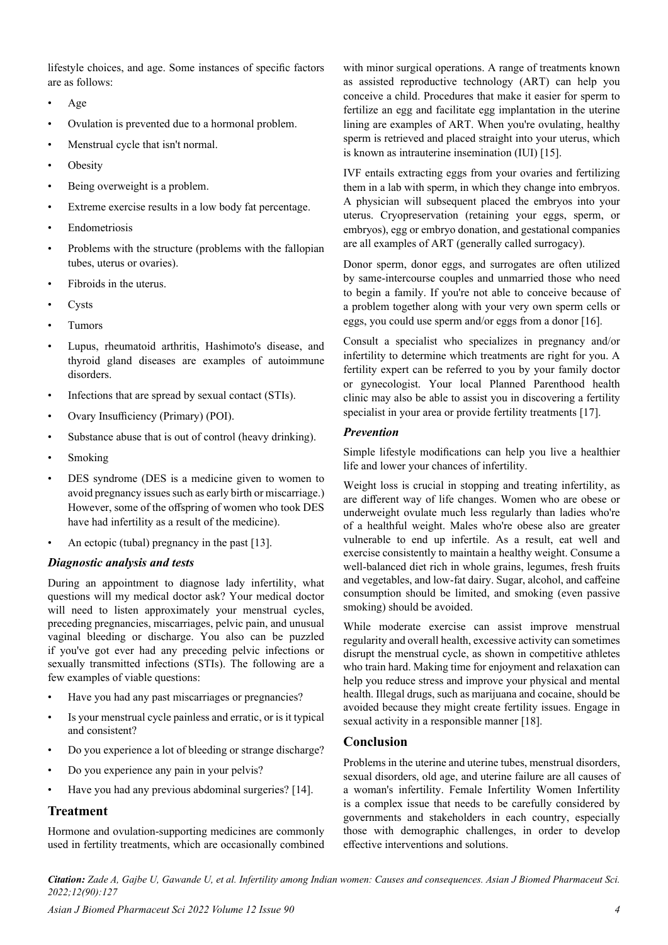lifestyle choices, and age. Some instances of specific factors are as follows:

- Age
- Ovulation is prevented due to a hormonal problem.
- Menstrual cycle that isn't normal.
- **Obesity**
- Being overweight is a problem.
- Extreme exercise results in a low body fat percentage.
- **Endometriosis**
- Problems with the structure (problems with the fallopian tubes, uterus or ovaries).
- Fibroids in the uterus.
- **Cysts**
- Tumors
- Lupus, rheumatoid arthritis, Hashimoto's disease, and thyroid gland diseases are examples of autoimmune disorders.
- Infections that are spread by sexual contact (STIs).
- Ovary Insufficiency (Primary) (POI).
- Substance abuse that is out of control (heavy drinking).
- Smoking
- DES syndrome (DES is a medicine given to women to avoid pregnancy issues such as early birth or miscarriage.) However, some of the offspring of women who took DES have had infertility as a result of the medicine).
- An ectopic (tubal) pregnancy in the past [13].

## *Diagnostic analysis and tests*

During an appointment to diagnose lady infertility, what questions will my medical doctor ask? Your medical doctor will need to listen approximately your menstrual cycles, preceding pregnancies, miscarriages, pelvic pain, and unusual vaginal bleeding or discharge. You also can be puzzled if you've got ever had any preceding pelvic infections or sexually transmitted infections (STIs). The following are a few examples of viable questions:

- Have you had any past miscarriages or pregnancies?
- Is your menstrual cycle painless and erratic, or is it typical and consistent?
- Do you experience a lot of bleeding or strange discharge?
- Do you experience any pain in your pelvis?
- Have you had any previous abdominal surgeries? [14].

# **Treatment**

Hormone and ovulation-supporting medicines are commonly used in fertility treatments, which are occasionally combined with minor surgical operations. A range of treatments known as assisted reproductive technology (ART) can help you conceive a child. Procedures that make it easier for sperm to fertilize an egg and facilitate egg implantation in the uterine lining are examples of ART. When you're ovulating, healthy sperm is retrieved and placed straight into your uterus, which is known as intrauterine insemination (IUI) [15].

IVF entails extracting eggs from your ovaries and fertilizing them in a lab with sperm, in which they change into embryos. A physician will subsequent placed the embryos into your uterus. Cryopreservation (retaining your eggs, sperm, or embryos), egg or embryo donation, and gestational companies are all examples of ART (generally called surrogacy).

Donor sperm, donor eggs, and surrogates are often utilized by same-intercourse couples and unmarried those who need to begin a family. If you're not able to conceive because of a problem together along with your very own sperm cells or eggs, you could use sperm and/or eggs from a donor [16].

Consult a specialist who specializes in pregnancy and/or infertility to determine which treatments are right for you. A fertility expert can be referred to you by your family doctor or gynecologist. Your local Planned Parenthood health clinic may also be able to assist you in discovering a fertility specialist in your area or provide fertility treatments [17].

### *Prevention*

Simple lifestyle modifications can help you live a healthier life and lower your chances of infertility.

Weight loss is crucial in stopping and treating infertility, as are different way of life changes. Women who are obese or underweight ovulate much less regularly than ladies who're of a healthful weight. Males who're obese also are greater vulnerable to end up infertile. As a result, eat well and exercise consistently to maintain a healthy weight. Consume a well-balanced diet rich in whole grains, legumes, fresh fruits and vegetables, and low-fat dairy. Sugar, alcohol, and caffeine consumption should be limited, and smoking (even passive smoking) should be avoided.

While moderate exercise can assist improve menstrual regularity and overall health, excessive activity can sometimes disrupt the menstrual cycle, as shown in competitive athletes who train hard. Making time for enjoyment and relaxation can help you reduce stress and improve your physical and mental health. Illegal drugs, such as marijuana and cocaine, should be avoided because they might create fertility issues. Engage in sexual activity in a responsible manner [18].

# **Conclusion**

Problems in the uterine and uterine tubes, menstrual disorders, sexual disorders, old age, and uterine failure are all causes of a woman's infertility. Female Infertility Women Infertility is a complex issue that needs to be carefully considered by governments and stakeholders in each country, especially those with demographic challenges, in order to develop effective interventions and solutions.